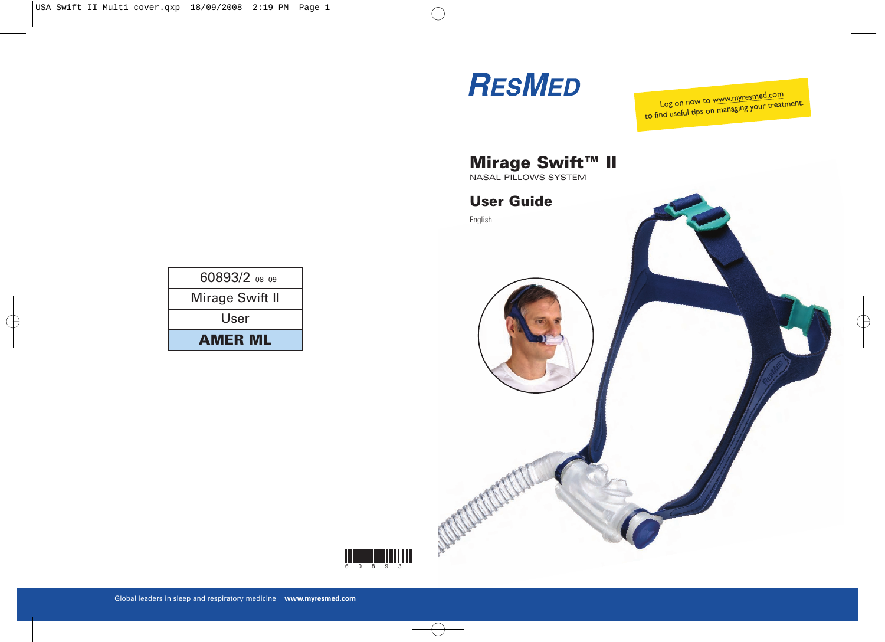

Log on now to www.myresmed.com to find useful tips on managing your treatment.

**NASAL PILLOWS SYSTEM** 

### **User Guide User Guide**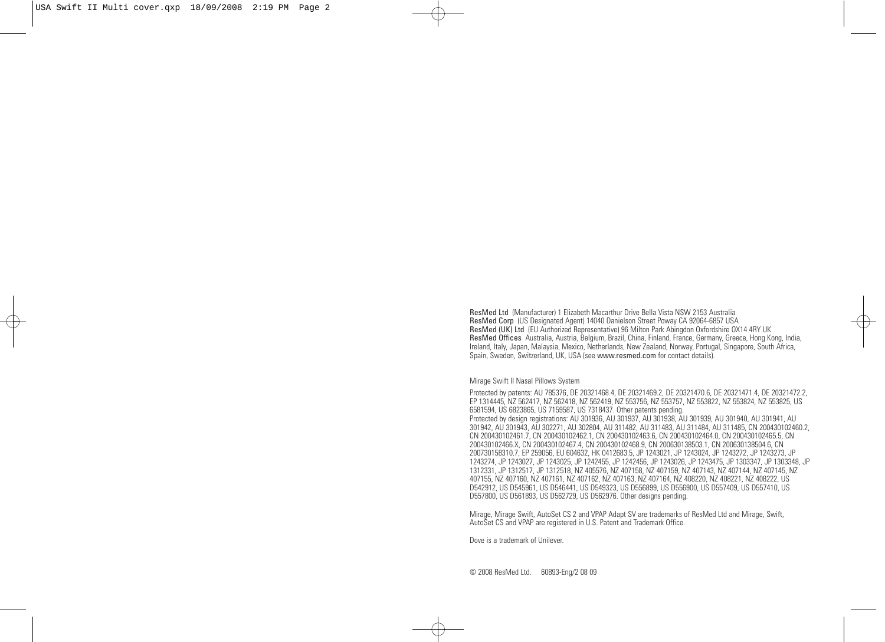ResMed Ltd (Manufacturer) 1 Elizabeth Macarthur Drive Bella Vista NSW 2153 Australia ResMed (UK) Ltd (EU Authorized Representative) 96 Milton Park Abingdon Oxfordshire OX14 4RY UK ResMed Offices Australia, Austria, Belgium, Brazil, China, Finland, France, Germany, Greece, Hong Kong, India, ResMed Offices Australia, Austria, Belgium, Brazil, China, Finland, France, Germany, Greece, Hong Kong, India, Ireland, Italy, Japan, Malaysia, Mexico, Netherlands, New Zealand, Norway, Portugal, Singapore, South Africa, Spain, Sweden, Switzerland, UK, USA (see www.resmed.com for contact details).

Mirage Swift II Nasal Pillows System

Protected by patents: AU 785376, DE 20321468.4, DE 20321469.2, DE 20321470.6, DE 20321471.4, DE 20321472.2, EP 1314445, NZ 562417, NZ 562418, NZ 562419, NZ 553756, NZ 553757, NZ 553822, NZ 553824, NZ 553825, US 6581594, US 6823865, US 7159587, US 7318437. Other patents pending. Protected by design registrations: AU 301936, AU 301937, AU 301938, AU 301939, AU 301940, AU 301941, AU 301942, AU 301943, AU 302271, AU 302804, AU 311482, AU 311483, AU 311484, AU 311485, CN 200430102460.2, CN 200430102461.7, CN 200430102462.1, CN 200430102463.6, CN 200430102464.0, CN 200430102465.5, CN 200430102466.X, CN 200430102467.4, CN 200430102468.9, CN 200630138503.1, CN 200630138504.6, CN 200730158310.7, EP 259056, EU 604632, HK 0412683.5, JP 1243021, JP 1243024, JP 1243272, JP 1243273, JP 1243274, JP 1243027, JP 1243025, JP 1242455, JP 1242456, JP 1243026, JP 1243475, JP 1303347, JP 1303348, JP 1312331, JP 1312517, JP 1312518, NZ 405576, NZ 407158, NZ 407159, NZ 407143, NZ 407144, NZ 407145, NZ 407155, NZ 407160, NZ 407161, NZ 407162, NZ 407163, NZ 407164, NZ 408220, NZ 408221, NZ 408222, US D542912, US D545961, US D546441, US D549323, US D556899, US D556900, US D557409, US D557410, US D557800, US D561893, US D562729, US D562976. Other designs pending.

Mirage, Mirage Swift, AutoSet CS 2 and VPAP Adapt SV are trademarks of ResMed Ltd and Mirage, Swift, AutoSet CS and VPAP are registered in U.S. Patent and Trademark Office.

Dove is a trademark of Unilever.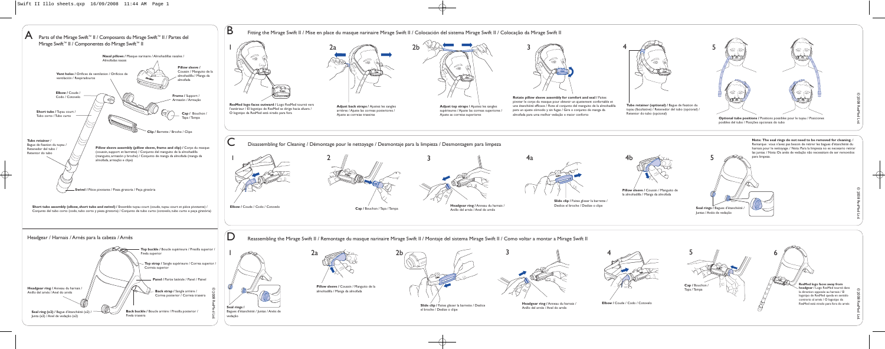



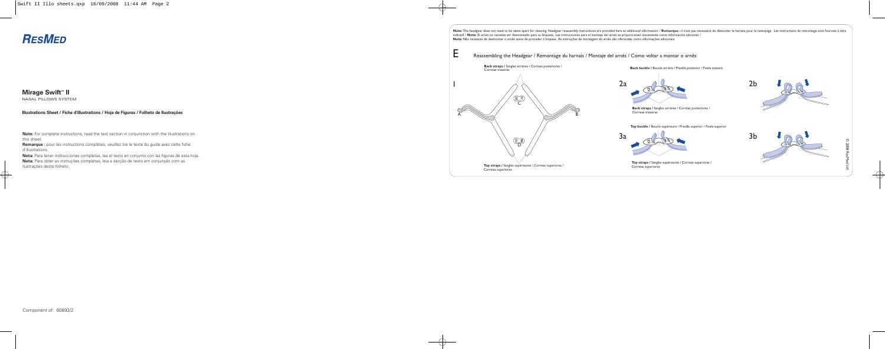Note: The headgear does not need to be taken apart for cleaning. Headgear reassembly instructions are provided here as additional information. / Remarque : il n'est pas nécessaire de démonter le harnais pour le nettoyage. indicatif. / **Nota:** El arnés no necesita ser desmontado para su limpieza. Las instrucciones para el montaje del arnés se proporcionan únicamente como información adicional. /





Correias superiores

**Mirage Swift<sup>™</sup> II** NASAL PILLOWS SYSTEM **Back buckle /** Boucle arrière / Presilla posterior / Fivela traseira

 $A \sim$   $B$ C  $\begin{picture}(42,14) \put(0,0){\line(1,0){155}} \put(15,0){\line(1,0){155}} \put(15,0){\line(1,0){155}} \put(15,0){\line(1,0){155}} \put(15,0){\line(1,0){155}} \put(15,0){\line(1,0){155}} \put(15,0){\line(1,0){155}} \put(15,0){\line(1,0){155}} \put(15,0){\line(1,0){155}} \put(15,0){\line(1,0){155}} \put(15,0){\line(1,0){155}} \$ **Nota:** Não necessita de desmontar o arnês antes de proceder à limpeza. As instruções de montagem do arnês são oferecidas como informações adicionais. **Back straps /** Sangles arrières / Correas posteriores / Correias traseiras **Top straps /** Sangles supérieures / Correas superiores / E Reassembling the Headgear / Remontage du harnais / Montaje del arnés / Como voltar a montar o arnês

**Note:** For complete instructions, read the text section in conjunction with the illustrations on this sheet.

**Remarque :** pour les instructions complètes, veuillez lire le texte du guide avec cette fiche d'illustrations.

**Nota:** Para tener instrucciones completas, lea el texto en conjunto con las figuras de esta hoja. **Nota:** Para obter as instruções completas, leia a secção de texto em conjunção com as ilustrações deste folheto.

**Illustrations Sheet / Fiche d'illustrations / Hoja de Figuras / Folheto de Ilustrações** 

# **RESMED**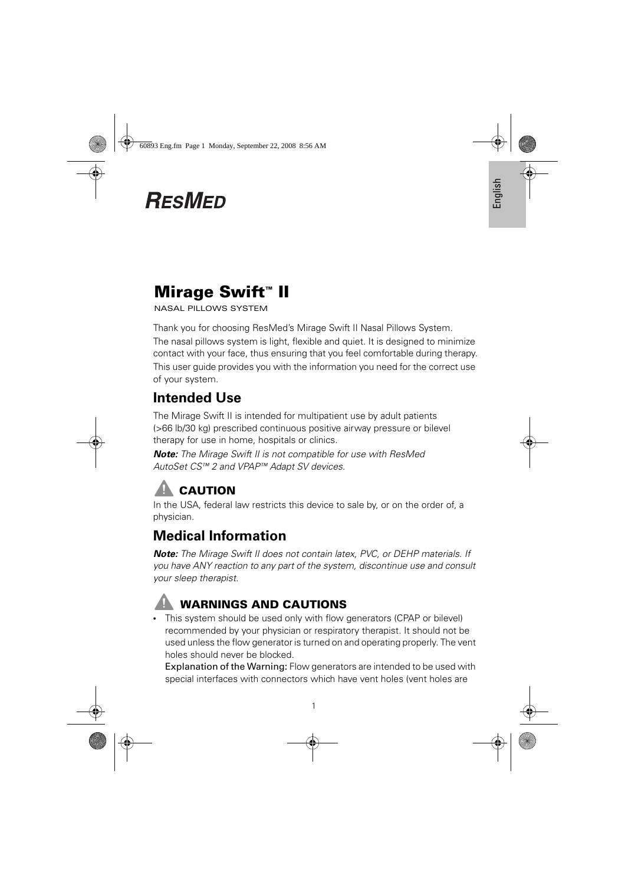# **RESMED**

**Mirage Swift™ II**  NASAL PILLOWS SYSTEM

Thank you for choosing ResMed's Mirage Swift II Nasal Pillows System. The nasal pillows system is light, flexible and quiet. It is designed to minimize contact with your face, thus ensuring that you feel comfortable during therapy. This user guide provides you with the information you need for the correct use of your system.

## **Intended Use**

The Mirage Swift II is intended for multipatient use by adult patients (>66 lb/30 kg) prescribed continuous positive airway pressure or bilevel therapy for use in home, hospitals or clinics.

*Note:* The Mirage Swift II is not compatible for use with ResMed AutoSet CS™ 2 and VPAP™ Adapt SV devices.

# **CAUTION**

In the USA, federal law restricts this device to sale by, or on the order of, a physician.

## **Medical Information**

*Note:* The Mirage Swift II does not contain latex, PVC, or DEHP materials. If you have ANY reaction to any part of the system, discontinue use and consult your sleep therapist.



**EXAMPLE CAUTIONS AND CAUTIONS**<br>• This system should be used only with flow generators (CPAP or bilevel) recommended by your physician or respiratory therapist. It should not be used unless the flow generator is turned on and operating properly. The vent holes should never be blocked.

Explanation of the Warning: Flow generators are intended to be used with special interfaces with connectors which have vent holes (vent holes are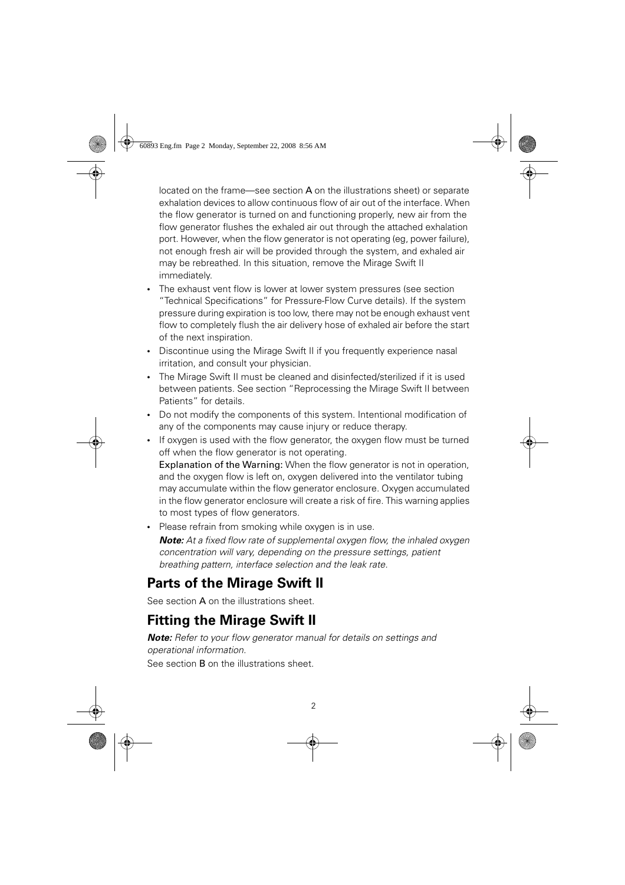located on the frame—see section  $A$  on the illustrations sheet) or separate exhalation devices to allow continuous flow of air out of the interface. When the flow generator is turned on and functioning properly, new air from the flow generator flushes the exhaled air out through the attached exhalation port. However, when the flow generator is not operating (eg, power failure), not enough fresh air will be provided through the system, and exhaled air may be rebreathed. In this situation, remove the Mirage Swift II immediately.

- The exhaust vent flow is lower at lower system pressures (see section "Technical Specifications" for Pressure-Flow Curve details). If the system pressure during expiration is too low, there may not be enough exhaust vent flow to completely flush the air delivery hose of exhaled air before the start of the next inspiration.
- Discontinue using the Mirage Swift II if you frequently experience nasal irritation, and consult your physician.
- The Mirage Swift II must be cleaned and disinfected/sterilized if it is used between patients. See section "Reprocessing the Mirage Swift II between Patients" for details.
- Do not modify the components of this system. Intentional modification of any of the components may cause injury or reduce therapy.
- If oxygen is used with the flow generator, the oxygen flow must be turned off when the flow generator is not operating. Explanation of the Warning: When the flow generator is not in operation, and the oxygen flow is left on, oxygen delivered into the ventilator tubing may accumulate within the flow generator enclosure. Oxygen accumulated

in the flow generator enclosure will create a risk of fire. This warning applies to most types of flow generators.

• Please refrain from smoking while oxygen is in use.

**Note:** At a fixed flow rate of supplemental oxygen flow, the inhaled oxygen concentration will vary, depending on the pressure settings, patient breathing pattern, interface selection and the leak rate.

## **Parts of the Mirage Swift II**

See section **A** on the illustrations sheet.

## **Fitting the Mirage Swift II**

*Note:* Refer to your flow generator manual for details on settings and operational information.

See section B on the illustrations sheet.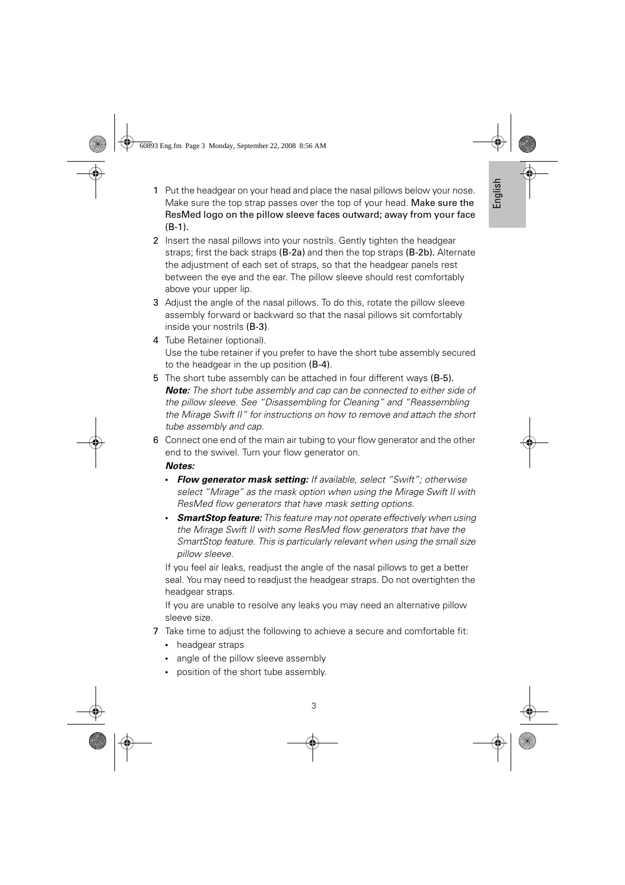- 1 Put the headgear on your head and place the nasal pillows below your nose. Make sure the top strap passes over the top of your head. Make sure the ResMed logo on the pillow sleeve faces outward; away from your face (B-1).
- 2 Insert the nasal pillows into your nostrils. Gently tighten the headgear straps; first the back straps (B-2a) and then the top straps (B-2b). Alternate the adjustment of each set of straps, so that the headgear panels rest between the eye and the ear. The pillow sleeve should rest comfortably above your upper lip.
- 3 Adjust the angle of the nasal pillows. To do this, rotate the pillow sleeve assembly forward or backward so that the nasal pillows sit comfortably inside your nostrils (B-3).
- 4 Tube Retainer (optional). Use the tube retainer if you prefer to have the short tube assembly secured to the headgear in the up position (B-4).
- 5 The short tube assembly can be attached in four different ways (B-5). *Note:* The short tube assembly and cap can be connected to either side of the pillow sleeve. See "Disassembling for Cleaning" and "Reassembling the Mirage Swift II" for instructions on how to remove and attach the short tube assembly and cap.
- 6 Connect one end of the main air tubing to your flow generator and the other end to the swivel. Turn your flow generator on.

- **Flow generator mask setting:** If available, select "Swift"; otherwise<br>coloct "Mirago" as the mask entien when using the Mirago Swift II with select "Mirage" as the mask option when using the Mirage Swift II with ResMed flow generators that have mask setting options.
- *SmartStop feature:* This feature may not operate effectively when using the Mirage Swift II with some ResMed flow generators that have the SmartStop feature. This is particularly relevant when using the small size pillow sleeve.

If you feel air leaks, readjust the angle of the nasal pillows to get a better seal. You may need to readjust the headgear straps. Do not overtighten the headgear straps.

If you are unable to resolve any leaks you may need an alternative pillow sleeve size.

- 7 Take time to adjust the following to achieve a secure and comfortable fit:
	- headgear straps
	- angle of the pillow sleeve assembly
	- position of the short tube assembly.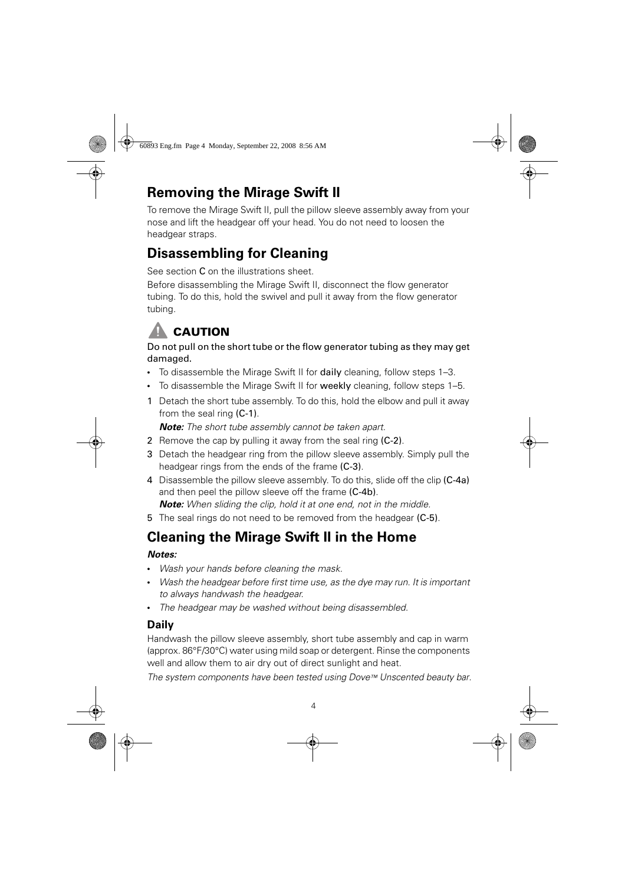## **Removing the Mirage Swift II**

To remove the Mirage Swift II, pull the pillow sleeve assembly away from your nose and lift the headgear off your head. You do not need to loosen the headgear straps.

## **Disassembling for Cleaning**

See section C on the illustrations sheet.

Before disassembling the Mirage Swift II, disconnect the flow generator tubing. To do this, hold the swivel and pull it away from the flow generator tubing.

## **CAUTION**

### **CAUTION** Do not pull on the short tube or the flow generator tubing as they may get damaged.

- To disassemble the Mirage Swift II for daily cleaning, follow steps 1–3.
- To disassemble the Mirage Swift II for weekly cleaning, follow steps 1–5.
- 1 Detach the short tube assembly. To do this, hold the elbow and pull it away from the seal ring (C-1).

*Note:* The short tube assembly cannot be taken apart.

- 2 Remove the cap by pulling it away from the seal ring (C-2).
- 3 Detach the headgear ring from the pillow sleeve assembly. Simply pull the headgear rings from the ends of the frame (C-3).
- 4 Disassemble the pillow sleeve assembly. To do this, slide off the clip (C-4a) and then peel the pillow sleeve off the frame (C-4b). *Note:* When sliding the clip, hold it at one end, not in the middle.
- 5 The seal rings do not need to be removed from the headgear (C-5).

## **Cleaning the Mirage Swift II in the Home**

### Notes:

- *Notes:* Wash your hands before cleaning the mask.
- Wash the headgear before first time use, as the dye may run. It is important to always handwash the headgear.
- The headgear may be washed without being disassembled.

### **Daily**

Handwash the pillow sleeve assembly, short tube assembly and cap in warm (approx. 86°F/30°C) water using mild soap or detergent. Rinse the components well and allow them to air dry out of direct sunlight and heat.

The system components have been tested using Dove™ Unscented beauty bar.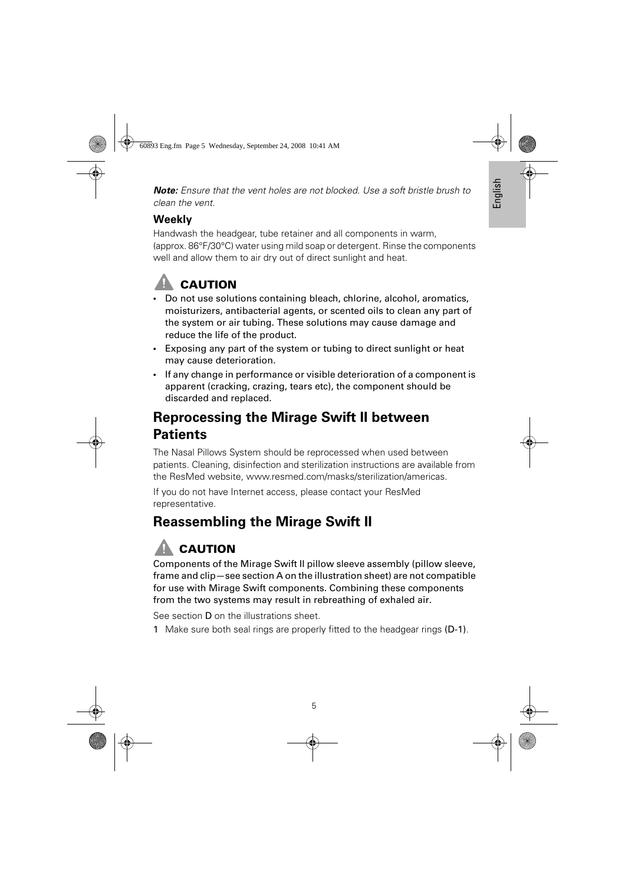*Note:* Ensure that the vent holes are not blocked. Use a soft bristle brush to clean the vent.

### **Weekly**

Handwash the headgear, tube retainer and all components in warm, (approx. 86°F/30°C) water using mild soap or detergent. Rinse the components well and allow them to air dry out of direct sunlight and heat.

- Do not use solutions containing bleach, chlorine, alcohol, aromatics, moisturizers, antibacterial agents, or scented oils to clean any part of the system or air tubing. These solutions may cause damage and reduce the life of the product.
- Exposing any part of the system or tubing to direct sunlight or heat may cause deterioration.
- If any change in performance or visible deterioration of a component is apparent (cracking, crazing, tears etc), the component should be discarded and replaced.

## **Reprocessing the Mirage Swift II between Patients**

The Nasal Pillows System should be reprocessed when used between patients. Cleaning, disinfection and sterilization instructions are available from the ResMed website, www.resmed.com/masks/sterilization/americas.

If you do not have Internet access, please contact your ResMed representative.

## **Reassembling the Mirage Swift II**

# **CAUTION**

**COUTION**<br>Components of the Mirage Swift II pillow sleeve assembly (pillow sleeve, frame and clip—see section A on the illustration sheet) are not compatible for use with Mirage Swift components. Combining these components from the two systems may result in rebreathing of exhaled air.

See section D on the illustrations sheet.

1 Make sure both seal rings are properly fitted to the headgear rings (D-1).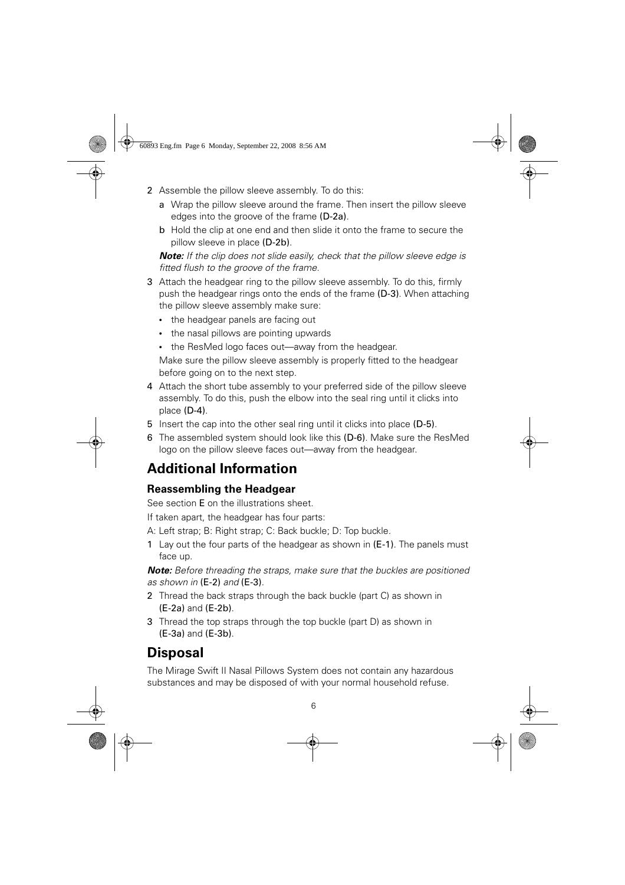- 2 Assemble the pillow sleeve assembly. To do this:
	- a Wrap the pillow sleeve around the frame. Then insert the pillow sleeve edges into the groove of the frame (D-2a).
	- b Hold the clip at one end and then slide it onto the frame to secure the pillow sleeve in place (D-2b).

**Note:** If the clip does not slide easily, check that the pillow sleeve edge is fitted flush to the groove of the frame.

- 3 Attach the headgear ring to the pillow sleeve assembly. To do this, firmly push the headgear rings onto the ends of the frame (D-3). When attaching the pillow sleeve assembly make sure:
	- the headgear panels are facing out
	- the nasal pillows are pointing upwards
	- the ResMed logo faces out—away from the headgear.

Make sure the pillow sleeve assembly is properly fitted to the headgear before going on to the next step.

- 4 Attach the short tube assembly to your preferred side of the pillow sleeve assembly. To do this, push the elbow into the seal ring until it clicks into place (D-4).
- 5 Insert the cap into the other seal ring until it clicks into place (D-5).
- 6 The assembled system should look like this (D-6). Make sure the ResMed logo on the pillow sleeve faces out—away from the headgear.

## **Additional Information**

### **Reassembling the Headgear**

See section E on the illustrations sheet.

If taken apart, the headgear has four parts:

A: Left strap; B: Right strap; C: Back buckle; D: Top buckle.

1 Lay out the four parts of the headgear as shown in (E-1). The panels must face up.

*Note:* Before threading the straps, make sure that the buckles are positioned as shown in (E-2) and (E-3).

- 2 Thread the back straps through the back buckle (part C) as shown in (E-2a) and (E-2b).
- 3 Thread the top straps through the top buckle (part D) as shown in (E-3a) and (E-3b).

## **Disposal**

The Mirage Swift II Nasal Pillows System does not contain any hazardous substances and may be disposed of with your normal household refuse.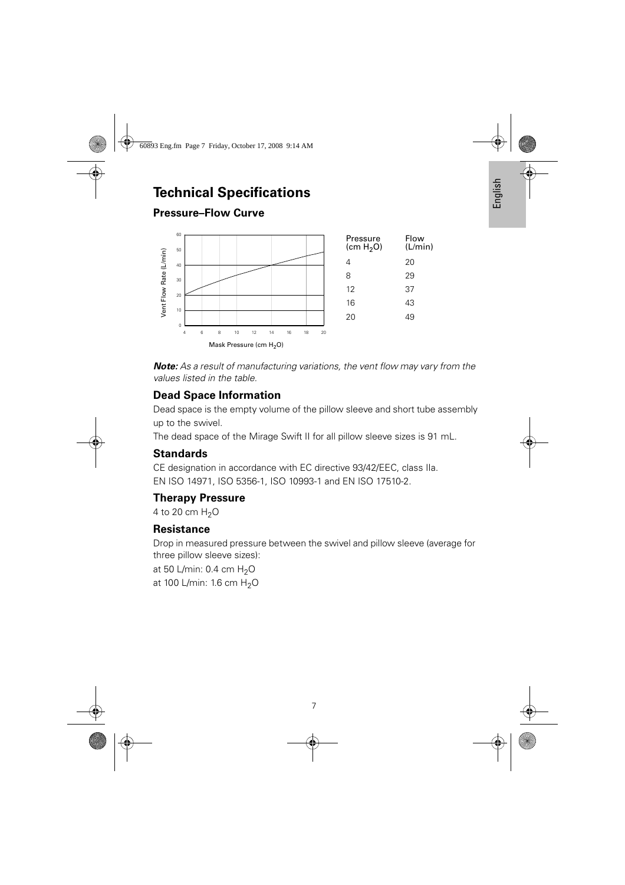### **Technical Specifications**

### **Pressure–Flow Curve**



*Note:* As a result of manufacturing variations, the vent flow may vary from the values listed in the table.

### **Dead Space Information**

Dead space is the empty volume of the pillow sleeve and short tube assembly up to the swivel.

The dead space of the Mirage Swift II for all pillow sleeve sizes is 91 mL.

### **Standards**

CE designation in accordance with EC directive 93/42/EEC, class IIa. EN ISO 14971, ISO 5356-1, ISO 10993-1 and EN ISO 17510-2.

### **Therapy Pressure**

4 to 20 cm  $H_2O$ 

### **Resistance**

Drop in measured pressure between the swivel and pillow sleeve (average for three pillow sleeve sizes):

at 50 L/min:  $0.4$  cm  $H<sub>2</sub>O$ at 100 L/min: 1.6 cm  $H_2O$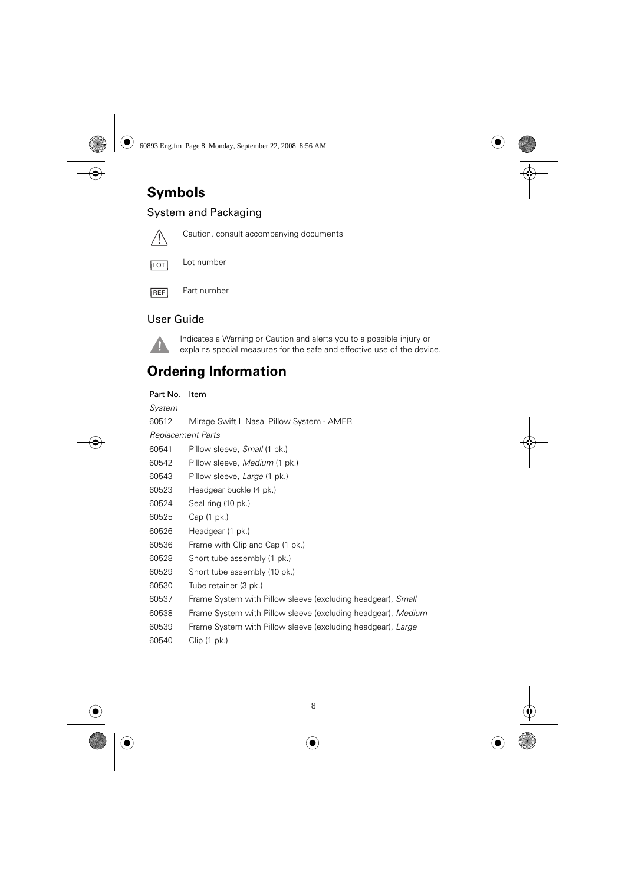## **Symbols**

### System and Packaging



Caution, consult accompanying documents



Lot number



Part number

### User Guide



Indicates a Warning or Caution and alerts you to a possible injury or explains special measures for the safe and effective use of the device.

### **Ordering Information**

Part No. Item

System

60512 Mirage Swift II Nasal Pillow System - AMER

Replacement Parts

- 60541 Pillow sleeve, Small (1 pk.)
- 60542 Pillow sleeve, Medium (1 pk.)
- 60543 Pillow sleeve, Large (1 pk.)
- 60523 Headgear buckle (4 pk.)
- 60524 Seal ring (10 pk.)
- 60525 Cap (1 pk.)
- 60526 Headgear (1 pk.)
- 60536 Frame with Clip and Cap (1 pk.)
- 60528 Short tube assembly (1 pk.)
- 60529 Short tube assembly (10 pk.)
- 60530 Tube retainer (3 pk.)
- 60537 Frame System with Pillow sleeve (excluding headgear), Small
- 60538 Frame System with Pillow sleeve (excluding headgear), Medium
- 60539 Frame System with Pillow sleeve (excluding headgear), Large
- 60540 Clip (1 pk.)